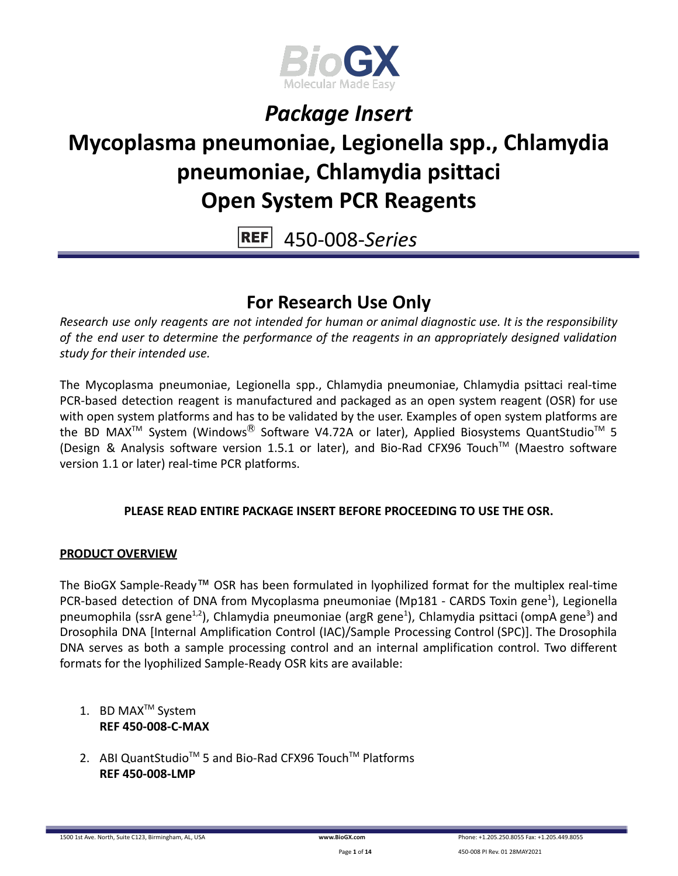

## **Mycoplasma pneumoniae, Legionella spp., Chlamydia pneumoniae, Chlamydia psittaci Open System PCR Reagents**

**REF** 450-008-*Series*

### **For Research Use Only**

*Research use only reagents are not intended for human or animal diagnostic use. It is the responsibility of the end user to determine the performance of the reagents in an appropriately designed validation study for their intended use.*

The Mycoplasma pneumoniae, Legionella spp., Chlamydia pneumoniae, Chlamydia psittaci real-time PCR-based detection reagent is manufactured and packaged as an open system reagent (OSR) for use with open system platforms and has to be validated by the user. Examples of open system platforms are the BD MAX<sup>TM</sup> System (Windows<sup>®</sup> Software V4.72A or later), Applied Biosystems QuantStudio<sup>TM</sup> 5 (Design & Analysis software version 1.5.1 or later), and Bio-Rad CFX96 Touch™ (Maestro software version 1.1 or later) real-time PCR platforms.

### **PLEASE READ ENTIRE PACKAGE INSERT BEFORE PROCEEDING TO USE THE OSR.**

### **PRODUCT OVERVIEW**

The BioGX Sample-Ready™ OSR has been formulated in lyophilized format for the multiplex real-time PCR-based detection of DNA from Mycoplasma pneumoniae (Mp181 - CARDS Toxin gene<sup>1</sup>), Legionella pneumophila (ssrA gene<sup>1,2</sup>), Chlamydia pneumoniae (argR gene<sup>1</sup>), Chlamydia psittaci (ompA gene<sup>3</sup>) and Drosophila DNA [Internal Amplification Control (IAC)/Sample Processing Control (SPC)]. The Drosophila DNA serves as both a sample processing control and an internal amplification control. Two different formats for the lyophilized Sample-Ready OSR kits are available:

- 1. BD MAX<sup>™</sup> System **REF 450-008-C-MAX**
- 2. ABI QuantStudio<sup>™</sup> 5 and Bio-Rad CFX96 Touch™ Platforms **REF 450-008-LMP**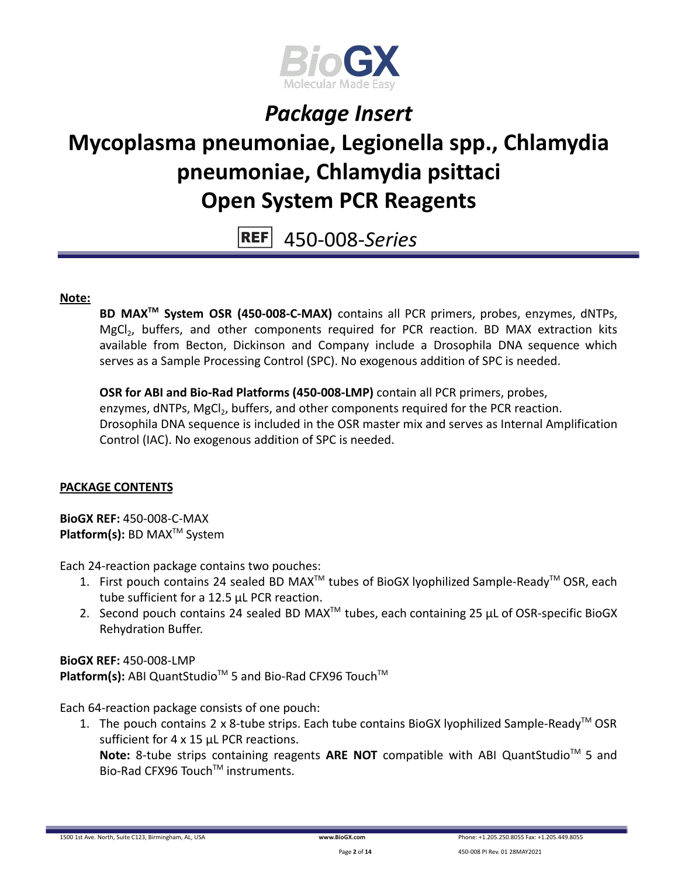

## **Mycoplasma pneumoniae, Legionella spp., Chlamydia pneumoniae, Chlamydia psittaci Open System PCR Reagents**

450-008-*Series* **REF** 

#### **Note:**

**BD MAXTM System OSR (450-008-C-MAX)** contains all PCR primers, probes, enzymes, dNTPs, MgCl<sub>2</sub>, buffers, and other components required for PCR reaction. BD MAX extraction kits available from Becton, Dickinson and Company include a Drosophila DNA sequence which serves as a Sample Processing Control (SPC). No exogenous addition of SPC is needed.

**OSR for ABI and Bio-Rad Platforms (450-008-LMP)** contain all PCR primers, probes, enzymes, dNTPs, MgCl<sub>2</sub>, buffers, and other components required for the PCR reaction. Drosophila DNA sequence is included in the OSR master mix and serves as Internal Amplification Control (IAC). No exogenous addition of SPC is needed.

#### **PACKAGE CONTENTS**

**BioGX REF:** 450-008-C-MAX **Platform(s):** BD MAX<sup>™</sup> System

Each 24-reaction package contains two pouches:

- 1. First pouch contains 24 sealed BD MAX<sup>™</sup> tubes of BioGX lyophilized Sample-Ready<sup>™</sup> OSR, each tube sufficient for a 12.5 µL PCR reaction.
- 2. Second pouch contains 24 sealed BD MAX<sup>™</sup> tubes, each containing 25  $\mu$ L of OSR-specific BioGX Rehydration Buffer.

**BioGX RFF: 450-008-LMP** Platform(s): ABI QuantStudio<sup>™</sup> 5 and Bio-Rad CFX96 Touch<sup>™</sup>

Each 64-reaction package consists of one pouch:

1. The pouch contains 2 x 8-tube strips. Each tube contains BioGX lyophilized Sample-Ready<sup>™</sup> OSR sufficient for 4 x 15 µL PCR reactions.

Note: 8-tube strips containing reagents ARE NOT compatible with ABI QuantStudio<sup>™</sup> 5 and Bio-Rad CFX96 Touch™ instruments.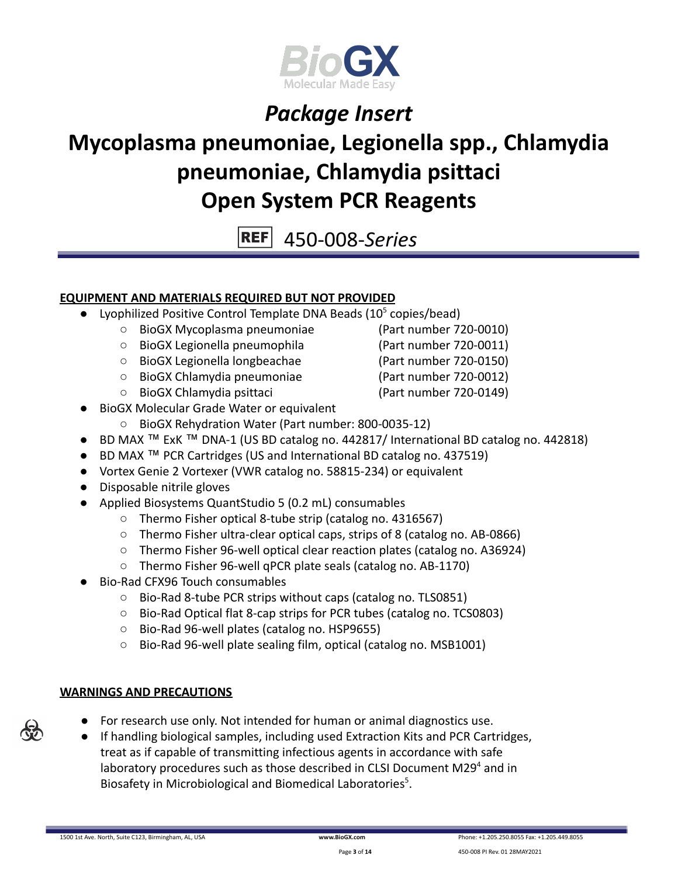

# **Mycoplasma pneumoniae, Legionella spp., Chlamydia pneumoniae, Chlamydia psittaci Open System PCR Reagents**

**REF** 450-008-*Series*

### **EQUIPMENT AND MATERIALS REQUIRED BUT NOT PROVIDED**

- Lyophilized Positive Control Template DNA Beads  $(10^5 \text{ copies/head})$ 
	- BioGX Mycoplasma pneumoniae (Part number 720-0010)
	- BioGX Legionella pneumophila (Part number 720-0011)
	- BioGX Legionella longbeachae (Part number 720-0150)
	- BioGX Chlamydia pneumoniae (Part number 720-0012)
	- BioGX Chlamydia psittaci (Part number 720-0149)

- BioGX Molecular Grade Water or equivalent
	- BioGX Rehydration Water (Part number: 800-0035-12)
- BD MAX ™ ExK ™ DNA-1 (US BD catalog no. 442817/ International BD catalog no. 442818)
- BD MAX ™ PCR Cartridges (US and International BD catalog no. 437519)
- Vortex Genie 2 Vortexer (VWR catalog no. 58815-234) or equivalent
- Disposable nitrile gloves
- Applied Biosystems QuantStudio 5 (0.2 mL) consumables
	- Thermo Fisher optical 8-tube strip (catalog no. 4316567)
	- Thermo Fisher ultra-clear optical caps, strips of 8 (catalog no. AB-0866)
	- Thermo Fisher 96-well optical clear reaction plates (catalog no. A36924)
	- Thermo Fisher 96-well qPCR plate seals (catalog no. AB-1170)
- Bio-Rad CFX96 Touch consumables
	- Bio-Rad 8-tube PCR strips without caps (catalog no. TLS0851)
	- Bio-Rad Optical flat 8-cap strips for PCR tubes (catalog no. TCS0803)
	- Bio-Rad 96-well plates (catalog no. HSP9655)
	- Bio-Rad 96-well plate sealing film, optical (catalog no. MSB1001)

### **WARNINGS AND PRECAUTIONS**

- For research use only. Not intended for human or animal diagnostics use.
- If handling biological samples, including used Extraction Kits and PCR Cartridges, treat as if capable of transmitting infectious agents in accordance with safe laboratory procedures such as those described in CLSI Document M29 $4$  and in Biosafety in Microbiological and Biomedical Laboratories<sup>5</sup>.

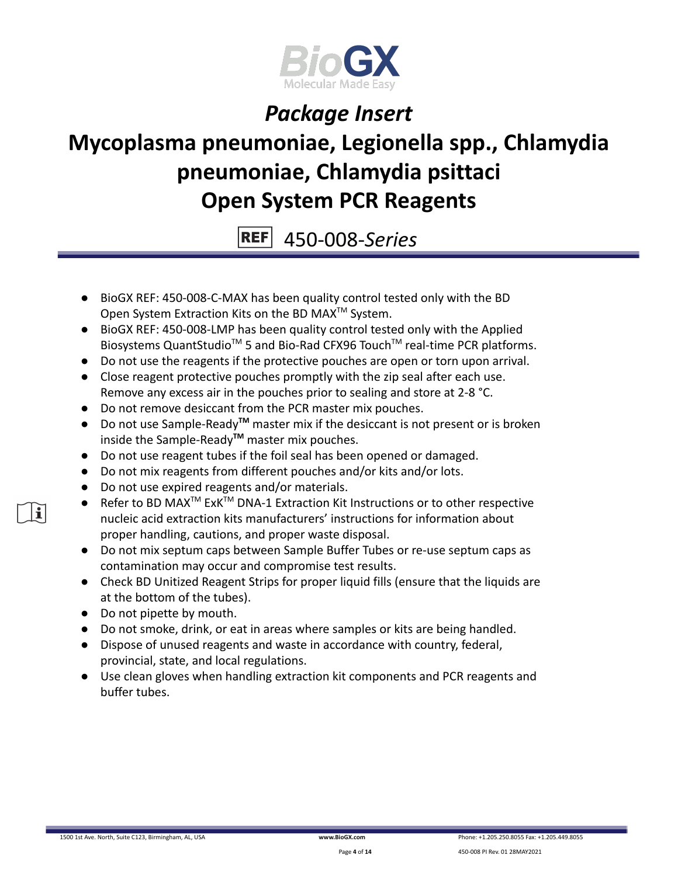

# **Mycoplasma pneumoniae, Legionella spp., Chlamydia pneumoniae, Chlamydia psittaci Open System PCR Reagents**

**REF** 450-008-*Series*

- BioGX REF: 450-008-C-MAX has been quality control tested only with the BD Open System Extraction Kits on the BD MAX<sup>™</sup> System.
- BioGX REF: 450-008-LMP has been quality control tested only with the Applied Biosystems QuantStudio<sup>™</sup> 5 and Bio-Rad CFX96 Touch<sup>™</sup> real-time PCR platforms.
- Do not use the reagents if the protective pouches are open or torn upon arrival.
- Close reagent protective pouches promptly with the zip seal after each use. Remove any excess air in the pouches prior to sealing and store at 2-8 °C.
- Do not remove desiccant from the PCR master mix pouches.
- Do not use Sample-Ready**TM** master mix if the desiccant is not present or is broken inside the Sample-Ready**TM** master mix pouches.
- Do not use reagent tubes if the foil seal has been opened or damaged.
- Do not mix reagents from different pouches and/or kits and/or lots.
- Do not use expired reagents and/or materials.
- Refer to BD MAX<sup>™</sup> ExK<sup>™</sup> DNA-1 Extraction Kit Instructions or to other respective nucleic acid extraction kits manufacturers' instructions for information about proper handling, cautions, and proper waste disposal.
- Do not mix septum caps between Sample Buffer Tubes or re-use septum caps as contamination may occur and compromise test results.
- Check BD Unitized Reagent Strips for proper liquid fills (ensure that the liquids are at the bottom of the tubes).
- Do not pipette by mouth.
- Do not smoke, drink, or eat in areas where samples or kits are being handled.
- Dispose of unused reagents and waste in accordance with country, federal, provincial, state, and local regulations.
- Use clean gloves when handling extraction kit components and PCR reagents and buffer tubes.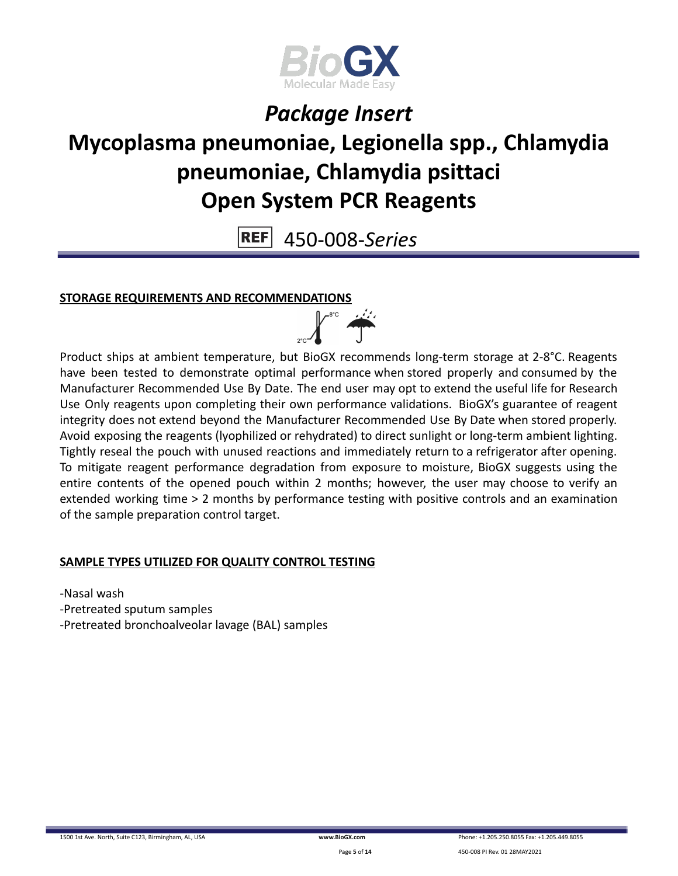

# **Mycoplasma pneumoniae, Legionella spp., Chlamydia pneumoniae, Chlamydia psittaci Open System PCR Reagents**

**REF** 450-008-*Series*

#### **STORAGE REQUIREMENTS AND RECOMMENDATIONS**

Product ships at ambient temperature, but BioGX recommends long-term storage at 2-8°C. Reagents have been tested to demonstrate optimal performance when stored properly and consumed by the Manufacturer Recommended Use By Date. The end user may opt to extend the useful life for Research Use Only reagents upon completing their own performance validations. BioGX's guarantee of reagent integrity does not extend beyond the Manufacturer Recommended Use By Date when stored properly. Avoid exposing the reagents (lyophilized or rehydrated) to direct sunlight or long-term ambient lighting. Tightly reseal the pouch with unused reactions and immediately return to a refrigerator after opening. To mitigate reagent performance degradation from exposure to moisture, BioGX suggests using the entire contents of the opened pouch within 2 months; however, the user may choose to verify an extended working time > 2 months by performance testing with positive controls and an examination of the sample preparation control target.

 $\frac{1}{\sqrt{1-x^2}}$ 

#### **SAMPLE TYPES UTILIZED FOR QUALITY CONTROL TESTING**

-Nasal wash -Pretreated sputum samples -Pretreated bronchoalveolar lavage (BAL) samples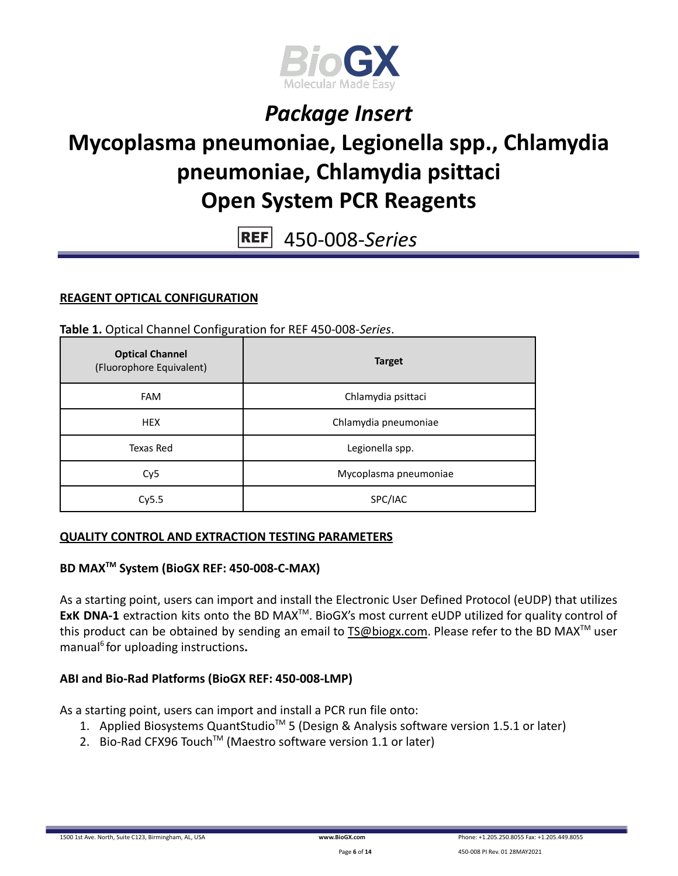

## **Mycoplasma pneumoniae, Legionella spp., Chlamydia pneumoniae, Chlamydia psittaci Open System PCR Reagents**

**REF** 450-008-*Series*

### **REAGENT OPTICAL CONFIGURATION**

**Table 1.** Optical Channel Configuration for REF 450-008-*Series*.

| <b>Optical Channel</b><br>(Fluorophore Equivalent) | <b>Target</b>         |  |
|----------------------------------------------------|-----------------------|--|
| <b>FAM</b>                                         | Chlamydia psittaci    |  |
| <b>HEX</b>                                         | Chlamydia pneumoniae  |  |
| Texas Red                                          | Legionella spp.       |  |
| Cy <sub>5</sub>                                    | Mycoplasma pneumoniae |  |
| Cy5.5                                              | SPC/IAC               |  |

#### **QUALITY CONTROL AND EXTRACTION TESTING PARAMETERS**

#### **BD MAXTM System (BioGX REF: 450-008-C-MAX)**

As a starting point, users can import and install the Electronic User Defined Protocol (eUDP) that utilizes ExK DNA-1 extraction kits onto the BD MAX<sup>™</sup>. BioGX's most current eUDP utilized for quality control of this product can be obtained by sending an email to [TS@biogx.com](mailto:TS@biogx.com). Please refer to the BD MAX<sup>™</sup> user manual<sup>6</sup> for uploading instructions.

### **ABI and Bio-Rad Platforms (BioGX REF: 450-008-LMP)**

As a starting point, users can import and install a PCR run file onto:

- 1. Applied Biosystems QuantStudio<sup>™</sup> 5 (Design & Analysis software version 1.5.1 or later)
- 2. Bio-Rad CFX96 Touch<sup>™</sup> (Maestro software version 1.1 or later)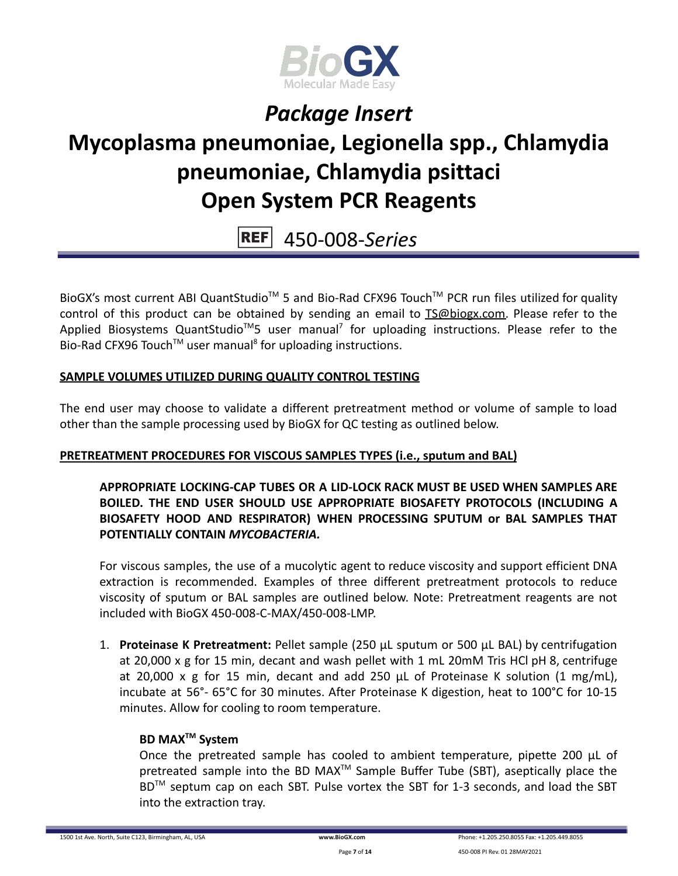

# **Mycoplasma pneumoniae, Legionella spp., Chlamydia pneumoniae, Chlamydia psittaci Open System PCR Reagents**

**REF** 450-008-*Series*

BioGX's most current ABI QuantStudio<sup>™</sup> 5 and Bio-Rad CFX96 Touch<sup>™</sup> PCR run files utilized for quality control of this product can be obtained by sending an email to [TS@biogx.com.](mailto:TS@biogx.com) Please refer to the Applied Biosystems QuantStudio<sup>™</sup>5 user manual<sup>7</sup> for uploading instructions. Please refer to the Bio-Rad CFX96 Touch<sup>™</sup> user manual<sup>8</sup> for uploading instructions.

### **SAMPLE VOLUMES UTILIZED DURING QUALITY CONTROL TESTING**

The end user may choose to validate a different pretreatment method or volume of sample to load other than the sample processing used by BioGX for QC testing as outlined below.

### **PRETREATMENT PROCEDURES FOR VISCOUS SAMPLES TYPES (i.e., sputum and BAL)**

**APPROPRIATE LOCKING-CAP TUBES OR A LID-LOCK RACK MUST BE USED WHEN SAMPLES ARE BOILED. THE END USER SHOULD USE APPROPRIATE BIOSAFETY PROTOCOLS (INCLUDING A BIOSAFETY HOOD AND RESPIRATOR) WHEN PROCESSING SPUTUM or BAL SAMPLES THAT POTENTIALLY CONTAIN** *MYCOBACTERIA.*

For viscous samples, the use of a mucolytic agent to reduce viscosity and support efficient DNA extraction is recommended. Examples of three different pretreatment protocols to reduce viscosity of sputum or BAL samples are outlined below. Note: Pretreatment reagents are not included with BioGX 450-008-C-MAX/450-008-LMP.

1. **Proteinase K Pretreatment:** Pellet sample (250 μL sputum or 500 μL BAL) by centrifugation at 20,000 x g for 15 min, decant and wash pellet with 1 mL 20mM Tris HCl pH 8, centrifuge at 20,000 x g for 15 min, decant and add 250 μL of Proteinase K solution (1 mg/mL), incubate at 56°- 65°C for 30 minutes. After Proteinase K digestion, heat to 100°C for 10-15 minutes. Allow for cooling to room temperature.

#### **BD MAXTM System**

Once the pretreated sample has cooled to ambient temperature, pipette 200 μL of pretreated sample into the BD MAX<sup>™</sup> Sample Buffer Tube (SBT), aseptically place the BD<sup>™</sup> septum cap on each SBT. Pulse vortex the SBT for 1-3 seconds, and load the SBT into the extraction tray.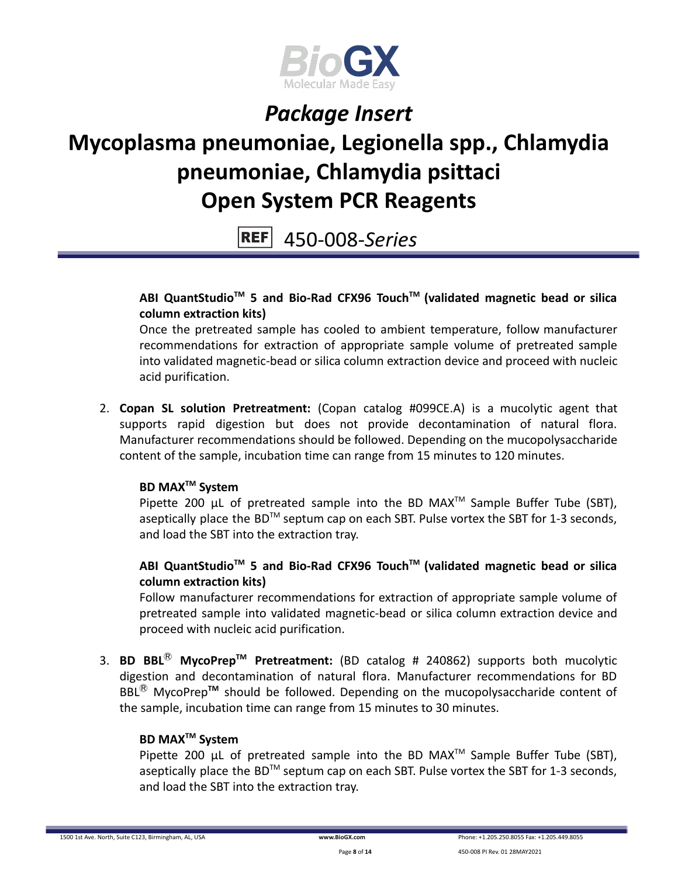

# **Mycoplasma pneumoniae, Legionella spp., Chlamydia pneumoniae, Chlamydia psittaci Open System PCR Reagents**

**REF** 450-008-*Series*

**ABI QuantStudioTM 5 and Bio-Rad CFX96 TouchTM (validated magnetic bead or silica column extraction kits)**

Once the pretreated sample has cooled to ambient temperature, follow manufacturer recommendations for extraction of appropriate sample volume of pretreated sample into validated magnetic-bead or silica column extraction device and proceed with nucleic acid purification.

2. **Copan SL solution Pretreatment:** (Copan catalog #099CE.A) is a mucolytic agent that supports rapid digestion but does not provide decontamination of natural flora. Manufacturer recommendations should be followed. Depending on the mucopolysaccharide content of the sample, incubation time can range from 15 minutes to 120 minutes.

### **BD MAXTM System**

Pipette 200  $\mu$ L of pretreated sample into the BD MAX<sup>TM</sup> Sample Buffer Tube (SBT), aseptically place the BD<sup>TM</sup> septum cap on each SBT. Pulse vortex the SBT for 1-3 seconds, and load the SBT into the extraction tray.

### **ABI QuantStudioTM 5 and Bio-Rad CFX96 TouchTM (validated magnetic bead or silica column extraction kits)**

Follow manufacturer recommendations for extraction of appropriate sample volume of pretreated sample into validated magnetic-bead or silica column extraction device and proceed with nucleic acid purification.

3. **BD BBL**Ⓡ **MycoPrepTM Pretreatment:** (BD catalog # 240862) supports both mucolytic digestion and decontamination of natural flora. Manufacturer recommendations for BD BBL<sup>®</sup> MycoPrep<sup>™</sup> should be followed. Depending on the mucopolysaccharide content of the sample, incubation time can range from 15 minutes to 30 minutes.

#### **BD MAXTM System**

Pipette 200  $\mu$ L of pretreated sample into the BD MAX<sup>TM</sup> Sample Buffer Tube (SBT), aseptically place the BD<sup>TM</sup> septum cap on each SBT. Pulse vortex the SBT for 1-3 seconds, and load the SBT into the extraction tray.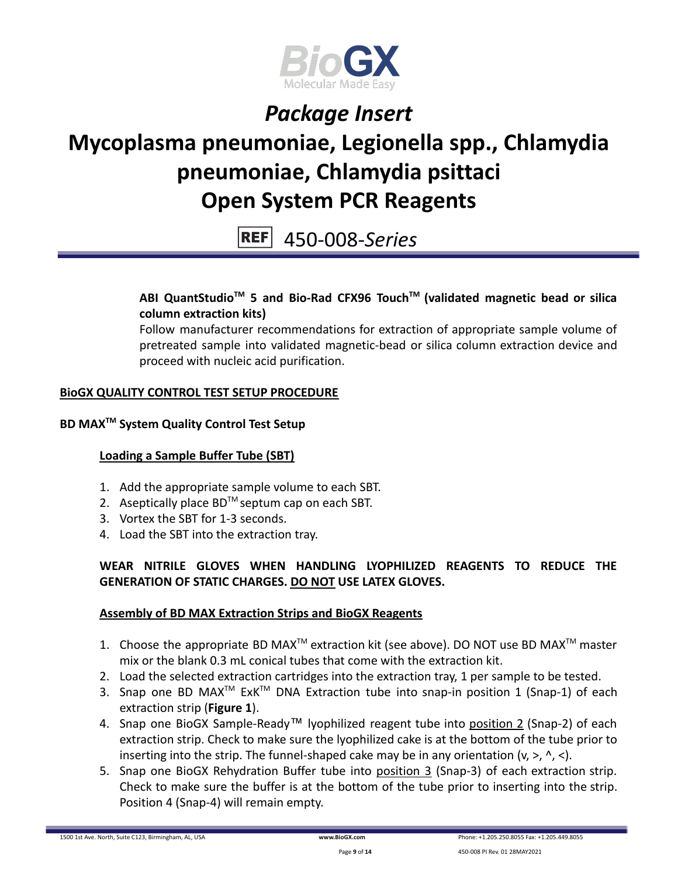

## **Mycoplasma pneumoniae, Legionella spp., Chlamydia pneumoniae, Chlamydia psittaci Open System PCR Reagents**

#### **REF** 450-008-*Series*

### **ABI QuantStudioTM 5 and Bio-Rad CFX96 TouchTM (validated magnetic bead or silica column extraction kits)**

Follow manufacturer recommendations for extraction of appropriate sample volume of pretreated sample into validated magnetic-bead or silica column extraction device and proceed with nucleic acid purification.

### **BioGX QUALITY CONTROL TEST SETUP PROCEDURE**

### **BD MAXTM System Quality Control Test Setup**

### **Loading a Sample Buffer Tube (SBT)**

- 1. Add the appropriate sample volume to each SBT.
- 2. Aseptically place  $BD^{TM}$  septum cap on each SBT.
- 3. Vortex the SBT for 1-3 seconds.
- 4. Load the SBT into the extraction tray.

### **WEAR NITRILE GLOVES WHEN HANDLING LYOPHILIZED REAGENTS TO REDUCE THE GENERATION OF STATIC CHARGES. DO NOT USE LATEX GLOVES.**

#### **Assembly of BD MAX Extraction Strips and BioGX Reagents**

- 1. Choose the appropriate BD MAX<sup>TM</sup> extraction kit (see above). DO NOT use BD MAX<sup>TM</sup> master mix or the blank 0.3 mL conical tubes that come with the extraction kit.
- 2. Load the selected extraction cartridges into the extraction tray, 1 per sample to be tested.
- 3. Snap one BD MAX<sup>™</sup> ExK<sup>™</sup> DNA Extraction tube into snap-in position 1 (Snap-1) of each extraction strip (**Figure 1**).
- 4. Snap one BioGX Sample-Ready™ lyophilized reagent tube into position 2 (Snap-2) of each extraction strip. Check to make sure the lyophilized cake is at the bottom of the tube prior to inserting into the strip. The funnel-shaped cake may be in any orientation  $(v, >, \land, <)$ .
- 5. Snap one BioGX Rehydration Buffer tube into position 3 (Snap-3) of each extraction strip. Check to make sure the buffer is at the bottom of the tube prior to inserting into the strip. Position 4 (Snap-4) will remain empty.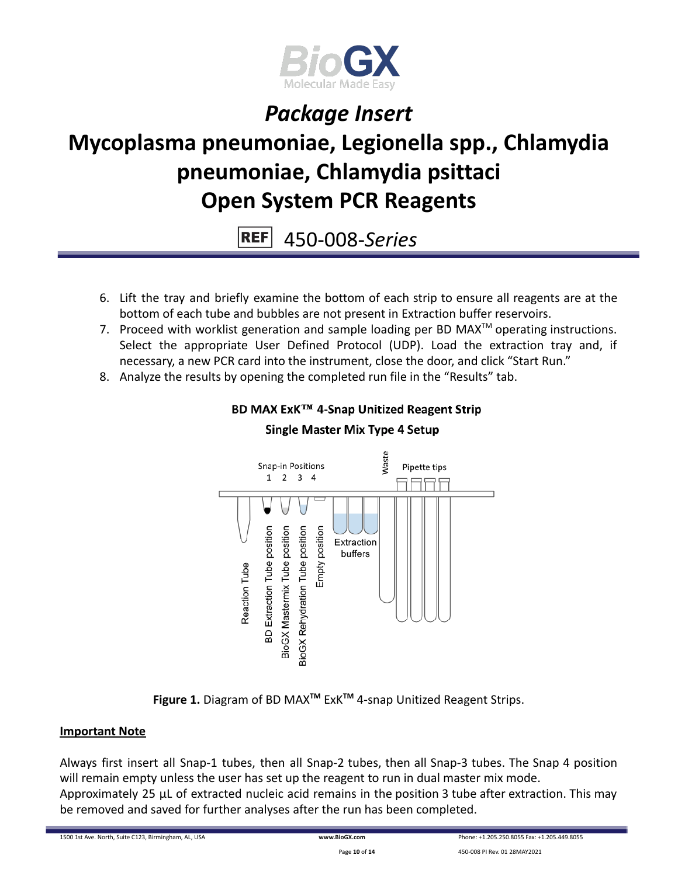

# **Mycoplasma pneumoniae, Legionella spp., Chlamydia pneumoniae, Chlamydia psittaci Open System PCR Reagents**

**REF** 450-008-*Series*

- 6. Lift the tray and briefly examine the bottom of each strip to ensure all reagents are at the bottom of each tube and bubbles are not present in Extraction buffer reservoirs.
- 7. Proceed with worklist generation and sample loading per BD MAX $^{TM}$  operating instructions. Select the appropriate User Defined Protocol (UDP). Load the extraction tray and, if necessary, a new PCR card into the instrument, close the door, and click "Start Run."
- 8. Analyze the results by opening the completed run file in the "Results" tab.



### **BD MAX ExK™ 4-Snap Unitized Reagent Strip Single Master Mix Type 4 Setup**

**Figure 1.** Diagram of BD MAX**TM** ExK**TM** 4-snap Unitized Reagent Strips.

### **Important Note**

Always first insert all Snap-1 tubes, then all Snap-2 tubes, then all Snap-3 tubes. The Snap 4 position will remain empty unless the user has set up the reagent to run in dual master mix mode. Approximately 25 µL of extracted nucleic acid remains in the position 3 tube after extraction. This may be removed and saved for further analyses after the run has been completed.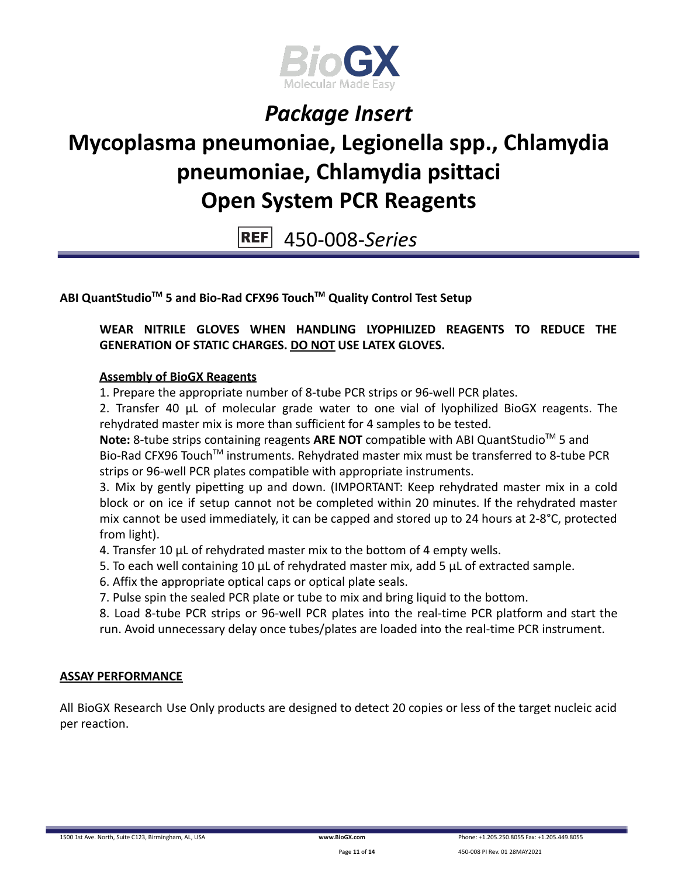

# **Mycoplasma pneumoniae, Legionella spp., Chlamydia pneumoniae, Chlamydia psittaci Open System PCR Reagents**

**REF** 450-008-*Series*

**ABI QuantStudioTM 5 and Bio-Rad CFX96 TouchTM Quality Control Test Setup**

**WEAR NITRILE GLOVES WHEN HANDLING LYOPHILIZED REAGENTS TO REDUCE THE GENERATION OF STATIC CHARGES. DO NOT USE LATEX GLOVES.**

#### **Assembly of BioGX Reagents**

1. Prepare the appropriate number of 8-tube PCR strips or 96-well PCR plates.

2. Transfer 40 μL of molecular grade water to one vial of lyophilized BioGX reagents. The rehydrated master mix is more than sufficient for 4 samples to be tested.

Note: 8-tube strips containing reagents ARE NOT compatible with ABI QuantStudio<sup>™</sup> 5 and Bio-Rad CFX96 Touch<sup>™</sup> instruments. Rehydrated master mix must be transferred to 8-tube PCR strips or 96-well PCR plates compatible with appropriate instruments.

3. Mix by gently pipetting up and down. (IMPORTANT: Keep rehydrated master mix in a cold block or on ice if setup cannot not be completed within 20 minutes. If the rehydrated master mix cannot be used immediately, it can be capped and stored up to 24 hours at 2-8°C, protected from light).

4. Transfer 10 μL of rehydrated master mix to the bottom of 4 empty wells.

- 5. To each well containing 10 μL of rehydrated master mix, add 5 μL of extracted sample.
- 6. Affix the appropriate optical caps or optical plate seals.
- 7. Pulse spin the sealed PCR plate or tube to mix and bring liquid to the bottom.

8. Load 8-tube PCR strips or 96-well PCR plates into the real-time PCR platform and start the run. Avoid unnecessary delay once tubes/plates are loaded into the real-time PCR instrument.

#### **ASSAY PERFORMANCE**

All BioGX Research Use Only products are designed to detect 20 copies or less of the target nucleic acid per reaction.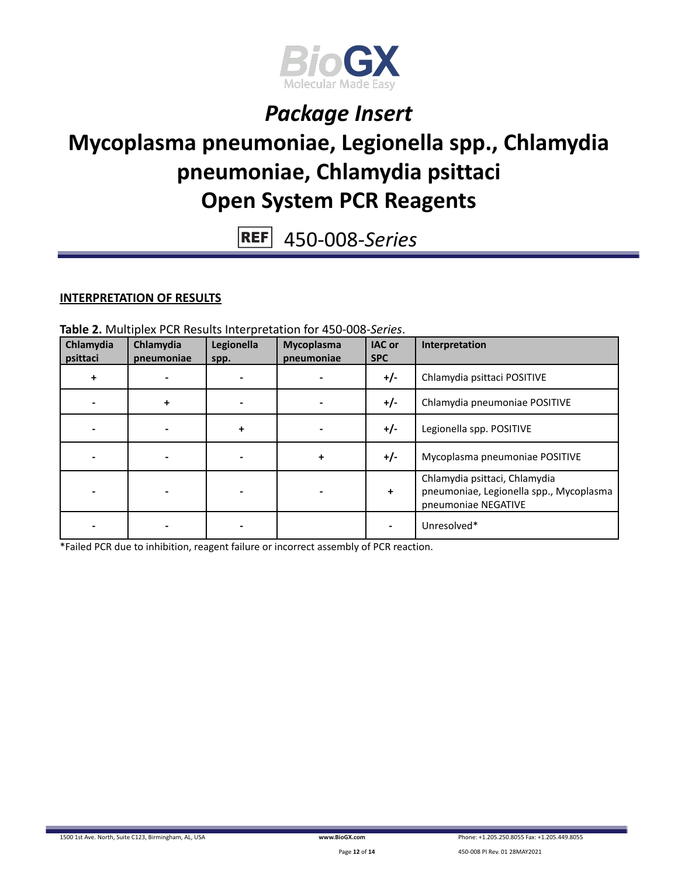

### **Mycoplasma pneumoniae, Legionella spp., Chlamydia pneumoniae, Chlamydia psittaci Open System PCR Reagents**

450-008-*Series* **REF** 

### **INTERPRETATION OF RESULTS**

**Table 2.** Multiplex PCR Results Interpretation for 450-008-*Series*.

| Chlamydia<br>psittaci | Chlamydia<br>pneumoniae | Legionella<br>spp. | Mycoplasma<br>pneumoniae | <b>IAC or</b><br><b>SPC</b> | Interpretation                                                                                  |
|-----------------------|-------------------------|--------------------|--------------------------|-----------------------------|-------------------------------------------------------------------------------------------------|
| ÷                     |                         |                    |                          | $+/-$                       | Chlamydia psittaci POSITIVE                                                                     |
|                       | +                       |                    |                          | $+/-$                       | Chlamydia pneumoniae POSITIVE                                                                   |
|                       |                         | $\ddot{}$          |                          | $+/-$                       | Legionella spp. POSITIVE                                                                        |
|                       |                         |                    | ÷                        | $+/-$                       | Mycoplasma pneumoniae POSITIVE                                                                  |
|                       |                         |                    |                          | +                           | Chlamydia psittaci, Chlamydia<br>pneumoniae, Legionella spp., Mycoplasma<br>pneumoniae NEGATIVE |
|                       |                         |                    |                          |                             | Unresolved*                                                                                     |

\*Failed PCR due to inhibition, reagent failure or incorrect assembly of PCR reaction.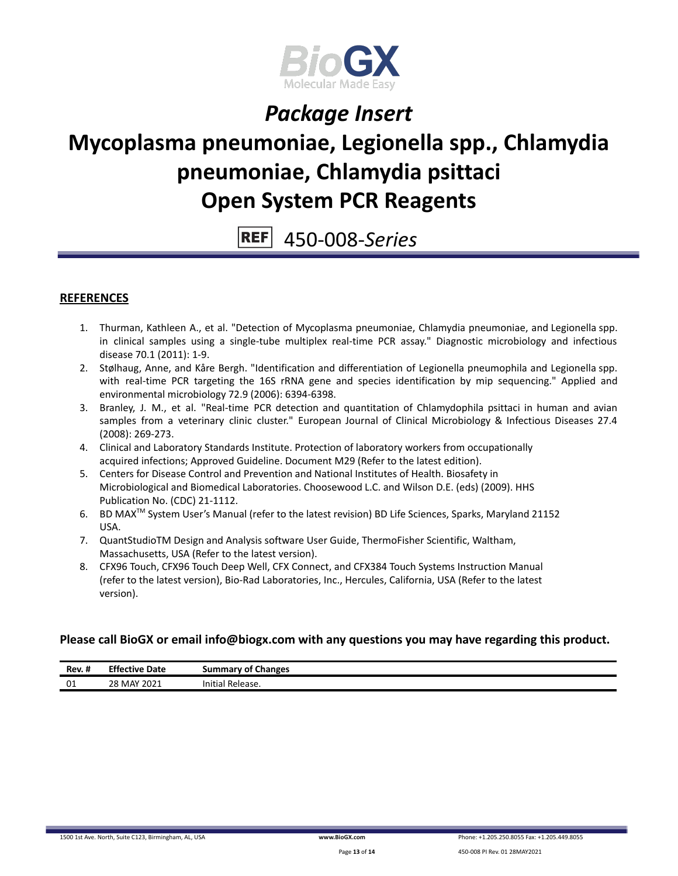

## **Mycoplasma pneumoniae, Legionella spp., Chlamydia pneumoniae, Chlamydia psittaci Open System PCR Reagents**

#### **REF** 450-008-*Series*

#### **REFERENCES**

- 1. Thurman, Kathleen A., et al. "Detection of Mycoplasma pneumoniae, Chlamydia pneumoniae, and Legionella spp. in clinical samples using a single-tube multiplex real-time PCR assay." Diagnostic microbiology and infectious disease 70.1 (2011): 1-9.
- 2. Stølhaug, Anne, and Kåre Bergh. "Identification and differentiation of Legionella pneumophila and Legionella spp. with real-time PCR targeting the 16S rRNA gene and species identification by mip sequencing." Applied and environmental microbiology 72.9 (2006): 6394-6398.
- 3. Branley, J. M., et al. "Real-time PCR detection and quantitation of Chlamydophila psittaci in human and avian samples from a veterinary clinic cluster." European Journal of Clinical Microbiology & Infectious Diseases 27.4 (2008): 269-273.
- 4. Clinical and Laboratory Standards Institute. Protection of laboratory workers from occupationally acquired infections; Approved Guideline. Document M29 (Refer to the latest edition).
- 5. Centers for Disease Control and Prevention and National Institutes of Health. Biosafety in Microbiological and Biomedical Laboratories. Choosewood L.C. and Wilson D.E. (eds) (2009). HHS Publication No. (CDC) 21-1112.
- 6. BD MAX<sup>™</sup> System User's Manual (refer to the latest revision) BD Life Sciences, Sparks, Maryland 21152 USA.
- 7. QuantStudioTM Design and Analysis software User Guide, ThermoFisher Scientific, Waltham, Massachusetts, USA (Refer to the latest version).
- 8. CFX96 Touch, CFX96 Touch Deep Well, CFX Connect, and CFX384 Touch Systems Instruction Manual (refer to the latest version), Bio-Rad Laboratories, Inc., Hercules, California, USA (Refer to the latest version).

#### **Please call BioGX or email info@biogx.com with any questions you may have regarding this product.**

| $\cdot$ .<br>Rev. # | <b>Effective</b><br>Date | <b>Summary of Changes</b> |
|---------------------|--------------------------|---------------------------|
| 01                  | 28 MAY 2021              | Initial<br>Release.       |